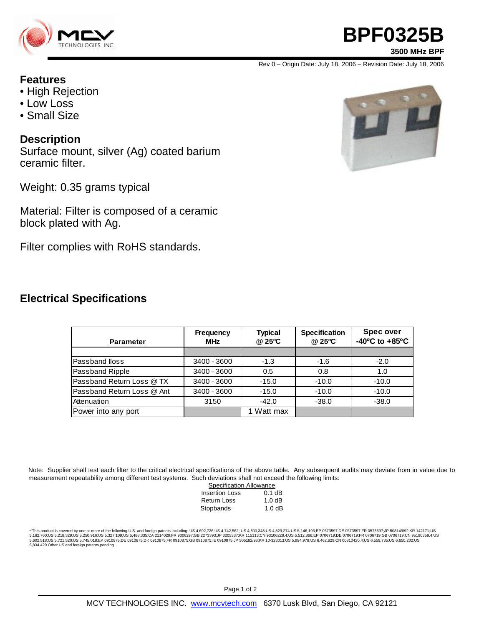

# **BPF0325B**

**3500 MHz BPF**

Rev 0 – Origin Date: July 18, 2006 – Revision Date: July 18, 2006

### **Features**

- High Rejection
- Low Loss
- Small Size

### **Description**

Surface mount, silver (Ag) coated barium ceramic filter.

Weight: 0.35 grams typical

Material: Filter is composed of a ceramic block plated with Ag.

Filter complies with RoHS standards.

### **Electrical Specifications**

| <b>Parameter</b>           | Frequency<br><b>MHz</b> | <b>Typical</b><br>@ 25°C | <b>Specification</b><br>@ 25°C | Spec over<br>$-40^{\circ}$ C to $+85^{\circ}$ C |
|----------------------------|-------------------------|--------------------------|--------------------------------|-------------------------------------------------|
|                            |                         |                          |                                |                                                 |
| Passband Iloss             | 3400 - 3600             | $-1.3$                   | $-1.6$                         | $-2.0$                                          |
| Passband Ripple            | 3400 - 3600             | 0.5                      | 0.8                            | 1.0                                             |
| Passband Return Loss @ TX  | 3400 - 3600             | $-15.0$                  | $-10.0$                        | $-10.0$                                         |
| Passband Return Loss @ Ant | 3400 - 3600             | $-15.0$                  | $-10.0$                        | $-10.0$                                         |
| Attenuation                | 3150                    | $-42.0$                  | $-38.0$                        | $-38.0$                                         |
| Power into any port        |                         | 1 Watt max               |                                |                                                 |

Note: Supplier shall test each filter to the critical electrical specifications of the above table. Any subsequent audits may deviate from in value due to measurement repeatability among different test systems. Such deviations shall not exceed the following limits:

| <b>Specification Allowance</b> |          |  |  |  |
|--------------------------------|----------|--|--|--|
| <b>Insertion Loss</b>          | $0.1$ dB |  |  |  |
| Return Loss                    | 1.0dB    |  |  |  |
| Stopbands                      | 1.0dB    |  |  |  |

\*This product is covered by one or more of the following U.S. and foreign patents including: US 4,692,726;US 4,742,562; US 4,800,348;US 4,829,274;US 5,146,193;EP 0573597;DE 0573597;FR 0573597;JP 508149/92;KR 142171;US<br>5,16 6,834,429.Other US and foreign patents pending.

Page 1 of 2